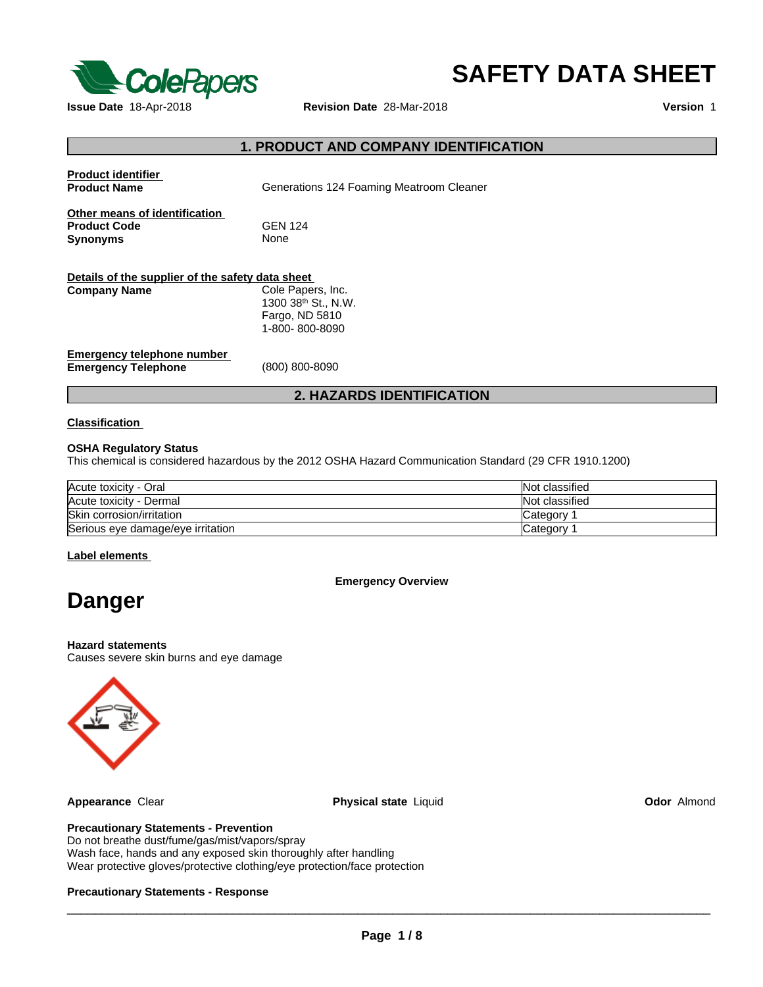

# **SAFETY DATA SHEET**

# **1. PRODUCT AND COMPANY IDENTIFICATION**

| <b>Product identifier</b><br><b>Product Name</b>                        | Generations 124 Foaming Meatroom Cleaner                                                 |
|-------------------------------------------------------------------------|------------------------------------------------------------------------------------------|
| Other means of identification<br><b>Product Code</b><br><b>Synonyms</b> | <b>GEN 124</b><br><b>None</b>                                                            |
| Details of the supplier of the safety data sheet                        |                                                                                          |
| <b>Company Name</b>                                                     | Cole Papers, Inc.<br>1300 38 <sup>th</sup> St., N.W.<br>Fargo, ND 5810<br>1-800-800-8090 |
| Emergency telephone number<br><b>Emergency Telephone</b>                | (800) 800-8090                                                                           |
|                                                                         | <b>2. HAZARDS IDENTIFICATION</b>                                                         |

#### **Classification**

#### **OSHA Regulatory Status**

This chemical is considered hazardous by the 2012 OSHA Hazard Communication Standard (29 CFR 1910.1200)

| Acute toxicity - Oral             | Not classified  |
|-----------------------------------|-----------------|
| Acute toxicity - Dermal           | Not classified  |
| Skin corrosion/irritation         | <b>Category</b> |
| Serious eye damage/eye irritation | Category 1      |

#### **Label elements**

**Emergency Overview**

# **Danger**

**Hazard statements** Causes severe skin burns and eye damage



**Appearance** Clear **Physical state** Liquid **Odor** Almond

#### **Precautionary Statements - Prevention**

Do not breathe dust/fume/gas/mist/vapors/spray Wash face, hands and any exposed skin thoroughly after handling Wear protective gloves/protective clothing/eye protection/face protection

#### **Precautionary Statements - Response**

 $\overline{\phantom{a}}$  ,  $\overline{\phantom{a}}$  ,  $\overline{\phantom{a}}$  ,  $\overline{\phantom{a}}$  ,  $\overline{\phantom{a}}$  ,  $\overline{\phantom{a}}$  ,  $\overline{\phantom{a}}$  ,  $\overline{\phantom{a}}$  ,  $\overline{\phantom{a}}$  ,  $\overline{\phantom{a}}$  ,  $\overline{\phantom{a}}$  ,  $\overline{\phantom{a}}$  ,  $\overline{\phantom{a}}$  ,  $\overline{\phantom{a}}$  ,  $\overline{\phantom{a}}$  ,  $\overline{\phantom{a}}$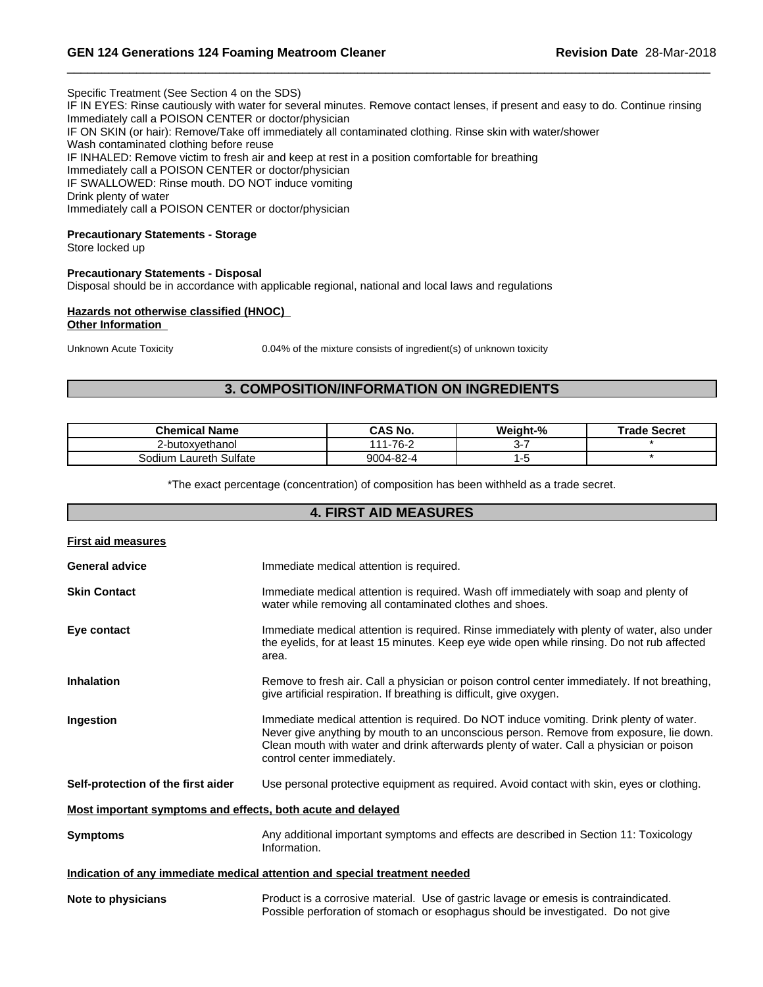Specific Treatment (See Section 4 on the SDS) IF IN EYES: Rinse cautiously with water for several minutes. Remove contact lenses, if present and easy to do. Continue rinsing Immediately call a POISON CENTER or doctor/physician IF ON SKIN (or hair): Remove/Take off immediately all contaminated clothing. Rinse skin with water/shower Wash contaminated clothing before reuse IF INHALED: Remove victim to fresh air and keep at rest in a position comfortable for breathing Immediately call a POISON CENTER or doctor/physician IF SWALLOWED: Rinse mouth. DO NOT induce vomiting Drink plenty of water Immediately call a POISON CENTER or doctor/physician

#### **Precautionary Statements - Storage**

Store locked up

**Precautionary Statements - Disposal** Disposal should be in accordance with applicable regional, national and local laws and regulations

#### **Hazards not otherwise classified (HNOC) Other Information**

Unknown Acute Toxicity 0.04% of the mixture consists of ingredient(s) of unknown toxicity

# **3. COMPOSITION/INFORMATION ON INGREDIENTS**

| Chemical Name             | <b>CAS No.</b>          | Weight-% | Trade Secret |
|---------------------------|-------------------------|----------|--------------|
| 2-butoxvethanol           | ⊥-76- <sup>-</sup><br>. |          |              |
| Laureth Sulfate<br>Sodium | 9004-82-4               |          |              |

\*The exact percentage (concentration) of composition has been withheld as a trade secret.

|                                                             | <b>4. FIRST AID MEASURES</b>                                                                                                                                                                                                                                                                                |  |
|-------------------------------------------------------------|-------------------------------------------------------------------------------------------------------------------------------------------------------------------------------------------------------------------------------------------------------------------------------------------------------------|--|
| First aid measures                                          |                                                                                                                                                                                                                                                                                                             |  |
| <b>General advice</b>                                       | Immediate medical attention is required.                                                                                                                                                                                                                                                                    |  |
| <b>Skin Contact</b>                                         | Immediate medical attention is required. Wash off immediately with soap and plenty of<br>water while removing all contaminated clothes and shoes.                                                                                                                                                           |  |
| Eye contact                                                 | Immediate medical attention is required. Rinse immediately with plenty of water, also under<br>the eyelids, for at least 15 minutes. Keep eye wide open while rinsing. Do not rub affected<br>area.                                                                                                         |  |
| <b>Inhalation</b>                                           | Remove to fresh air. Call a physician or poison control center immediately. If not breathing,<br>give artificial respiration. If breathing is difficult, give oxygen.                                                                                                                                       |  |
| Ingestion                                                   | Immediate medical attention is required. Do NOT induce vomiting. Drink plenty of water.<br>Never give anything by mouth to an unconscious person. Remove from exposure, lie down.<br>Clean mouth with water and drink afterwards plenty of water. Call a physician or poison<br>control center immediately. |  |
| Self-protection of the first aider                          | Use personal protective equipment as required. Avoid contact with skin, eyes or clothing.                                                                                                                                                                                                                   |  |
| Most important symptoms and effects, both acute and delayed |                                                                                                                                                                                                                                                                                                             |  |
| <b>Symptoms</b>                                             | Any additional important symptoms and effects are described in Section 11: Toxicology<br>Information.                                                                                                                                                                                                       |  |
|                                                             | Indication of any immediate medical attention and special treatment needed                                                                                                                                                                                                                                  |  |
| Note to physicians                                          | Product is a corrosive material. Use of gastric lavage or emesis is contraindicated.<br>Possible perforation of stomach or esophagus should be investigated. Do not give                                                                                                                                    |  |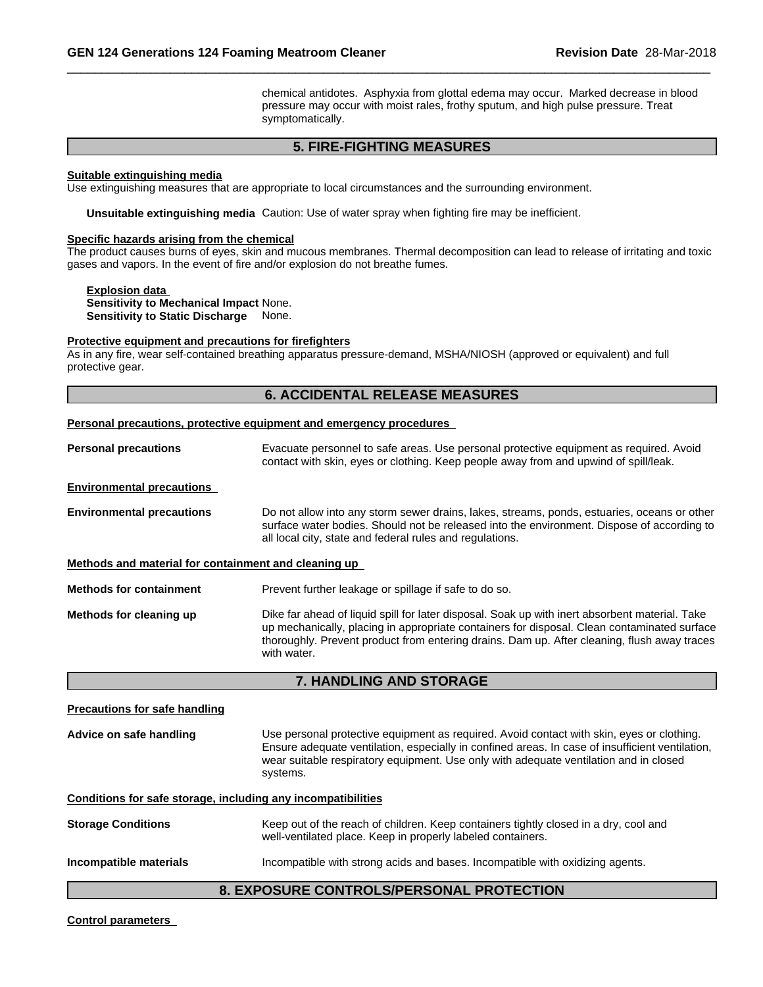chemical antidotes. Asphyxia from glottal edema may occur. Marked decrease in blood pressure may occur with moist rales, frothy sputum, and high pulse pressure. Treat symptomatically.

# **5. FIRE-FIGHTING MEASURES**

#### **Suitable extinguishing media**

Use extinguishing measures that are appropriate to local circumstances and the surrounding environment.

**Unsuitable extinguishing media** Caution: Use of water spray when fighting fire may be inefficient.

#### **Specific hazards arising from the chemical**

The product causes burns of eyes, skin and mucous membranes. Thermal decomposition can lead to release of irritating and toxic gases and vapors. In the event of fire and/or explosion do not breathe fumes.

#### **Explosion data Sensitivity to Mechanical Impact** None. **Sensitivity to Static Discharge** None.

#### **Protective equipment and precautions for firefighters**

As in any fire, wear self-contained breathing apparatus pressure-demand, MSHA/NIOSH (approved or equivalent) and full protective gear.

# **6. ACCIDENTAL RELEASE MEASURES**

#### **Personal precautions, protective equipment and emergency procedures**

with water.

| <b>Personal precautions</b>                          | Evacuate personnel to safe areas. Use personal protective equipment as required. Avoid<br>contact with skin, eyes or clothing. Keep people away from and upwind of spill/leak.                                                                        |
|------------------------------------------------------|-------------------------------------------------------------------------------------------------------------------------------------------------------------------------------------------------------------------------------------------------------|
| <b>Environmental precautions</b>                     |                                                                                                                                                                                                                                                       |
| <b>Environmental precautions</b>                     | Do not allow into any storm sewer drains, lakes, streams, ponds, estuaries, oceans or other<br>surface water bodies. Should not be released into the environment. Dispose of according to<br>all local city, state and federal rules and regulations. |
| Methods and material for containment and cleaning up |                                                                                                                                                                                                                                                       |
| <b>Methods for containment</b>                       | Prevent further leakage or spillage if safe to do so.                                                                                                                                                                                                 |
| Methods for cleaning up                              | Dike far ahead of liquid spill for later disposal. Soak up with inert absorbent material. Take<br>up mechanically, placing in appropriate containers for disposal. Clean contaminated surface                                                         |

#### **7. HANDLING AND STORAGE**

thoroughly. Prevent product from entering drains. Dam up. After cleaning, flush away traces

# **Precautions for safe handling Advice on safe handling** Use personal protective equipment as required.Avoid contact with skin, eyes or clothing. Ensure adequate ventilation, especially in confined areas. In case of insufficient ventilation, wear suitable respiratory equipment. Use only with adequate ventilation and in closed systems. **Conditions for safe storage, including any incompatibilities Storage Conditions** Keep out of the reach of children. Keep containers tightly closed in a dry, cool and well-ventilated place. Keep in properly labeled containers. **Incompatible materials Incompatible with strong acids and bases. Incompatible with oxidizing agents.**

# **8. EXPOSURE CONTROLS/PERSONAL PROTECTION**

**Control parameters**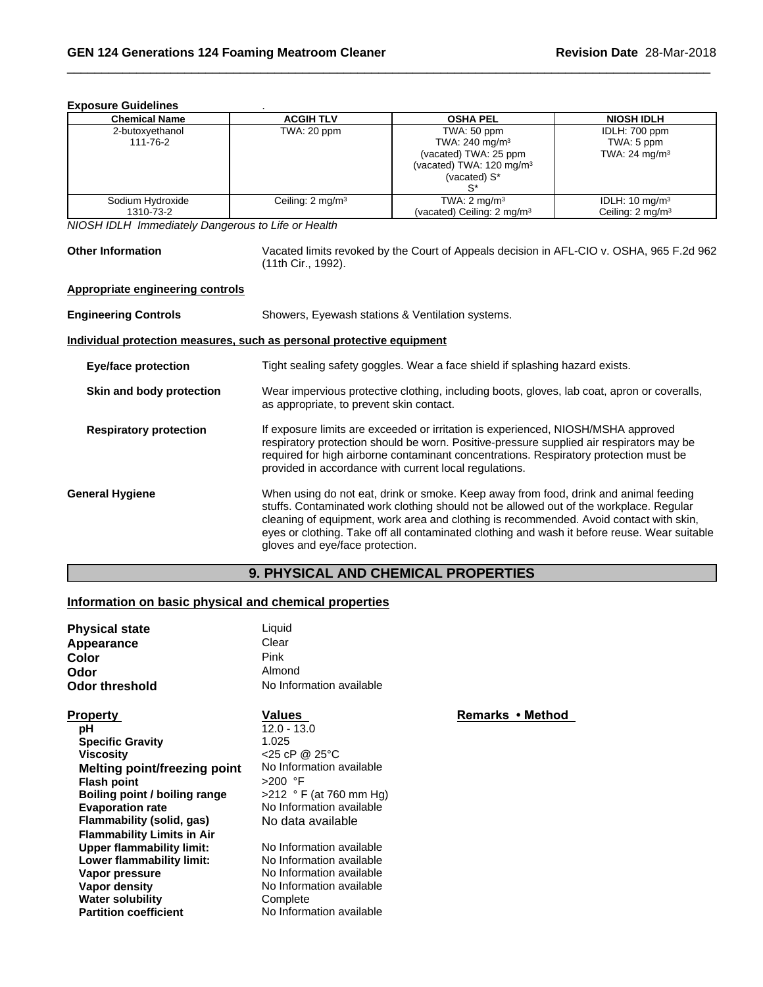| LADUJUIU UUIUUIIIIUJ          |                             |                                                                                                                           |                                                          |
|-------------------------------|-----------------------------|---------------------------------------------------------------------------------------------------------------------------|----------------------------------------------------------|
| <b>Chemical Name</b>          | <b>ACGIH TLV</b>            | <b>OSHA PEL</b>                                                                                                           | <b>NIOSH IDLH</b>                                        |
| 2-butoxyethanol<br>111-76-2   | TWA: 20 ppm                 | TWA: 50 ppm<br>TWA: 240 mg/m <sup>3</sup><br>(vacated) TWA: 25 ppm<br>(vacated) TWA: $120 \text{ mg/m}^3$<br>(vacated) S* | IDLH: 700 ppm<br>TWA: 5 ppm<br>TWA: 24 mg/m <sup>3</sup> |
| Sodium Hydroxide<br>1310-73-2 | Ceiling: $2 \text{ mg/m}^3$ | TWA: $2 \text{ mg/m}^3$<br>(vacated) Ceiling: $2 \text{ mg/m}^3$                                                          | IDLH: $10 \text{ mg/m}^3$<br>Ceiling: $2 \text{ mg/m}^3$ |

**Exposure Guidelines** .

*NIOSH IDLH Immediately Dangerous to Life or Health*

**Other Information** Vacated limits revoked by the Court of Appeals decision in AFL-CIO v.OSHA, 965 F.2d 962 (11th Cir., 1992).

# **Appropriate engineering controls**

| Showers, Eyewash stations & Ventilation systems.                                                                                                                                                                                                                                                                                                                                                            |  |  |
|-------------------------------------------------------------------------------------------------------------------------------------------------------------------------------------------------------------------------------------------------------------------------------------------------------------------------------------------------------------------------------------------------------------|--|--|
| Individual protection measures, such as personal protective equipment                                                                                                                                                                                                                                                                                                                                       |  |  |
| Tight sealing safety goggles. Wear a face shield if splashing hazard exists.                                                                                                                                                                                                                                                                                                                                |  |  |
| Wear impervious protective clothing, including boots, gloves, lab coat, apron or coveralls,<br>as appropriate, to prevent skin contact.                                                                                                                                                                                                                                                                     |  |  |
| If exposure limits are exceeded or irritation is experienced, NIOSH/MSHA approved<br>respiratory protection should be worn. Positive-pressure supplied air respirators may be<br>required for high airborne contaminant concentrations. Respiratory protection must be<br>provided in accordance with current local regulations.                                                                            |  |  |
| When using do not eat, drink or smoke. Keep away from food, drink and animal feeding<br>stuffs. Contaminated work clothing should not be allowed out of the workplace. Regular<br>cleaning of equipment, work area and clothing is recommended. Avoid contact with skin,<br>eyes or clothing. Take off all contaminated clothing and wash it before reuse. Wear suitable<br>gloves and eye/face protection. |  |  |
|                                                                                                                                                                                                                                                                                                                                                                                                             |  |  |

# **9. PHYSICAL AND CHEMICAL PROPERTIES**

# **Information on basic physical and chemical properties**

| <b>Physical state</b>               | Liquid                     |                  |  |
|-------------------------------------|----------------------------|------------------|--|
| Appearance                          | Clear                      |                  |  |
| Color                               | Pink                       |                  |  |
| Odor                                | Almond                     |                  |  |
| Odor threshold                      | No Information available   |                  |  |
| <b>Property</b>                     | Values                     | Remarks • Method |  |
| рH                                  | 12.0 - 13.0                |                  |  |
| <b>Specific Gravity</b>             | 1.025                      |                  |  |
| <b>Viscosity</b>                    | $<$ 25 cP @ 25 $\degree$ C |                  |  |
| <b>Melting point/freezing point</b> | No Information available   |                  |  |
| <b>Flash point</b>                  | $>200$ °F                  |                  |  |
| Boiling point / boiling range       | $>212$ ° F (at 760 mm Hg)  |                  |  |
| <b>Evaporation rate</b>             | No Information available   |                  |  |
| Flammability (solid, gas)           | No data available          |                  |  |
| <b>Flammability Limits in Air</b>   |                            |                  |  |
| <b>Upper flammability limit:</b>    | No Information available   |                  |  |
| Lower flammability limit:           | No Information available   |                  |  |
| Vapor pressure                      | No Information available   |                  |  |
| Vapor density                       | No Information available   |                  |  |
| <b>Water solubility</b>             | Complete                   |                  |  |
| <b>Partition coefficient</b>        | No Information available   |                  |  |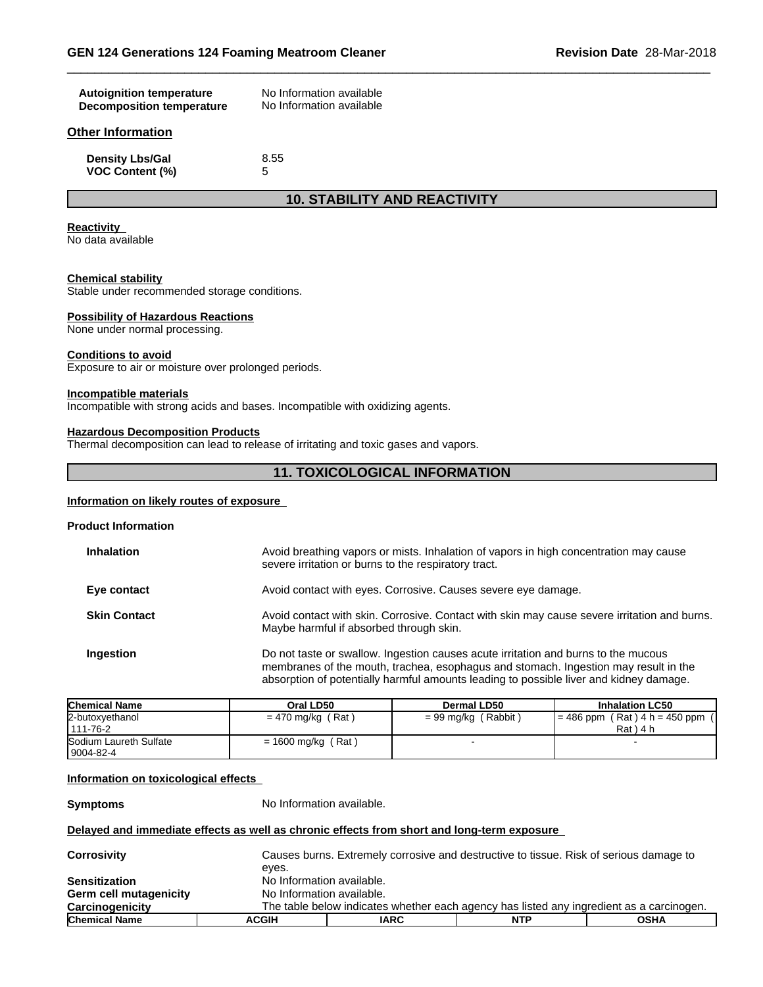| <b>Autoignition temperature</b>  | No Information available |
|----------------------------------|--------------------------|
| <b>Decomposition temperature</b> | No Information available |
| Other Information                |                          |
| <b>Density Lbs/Gal</b>           | 8.55                     |
| <b>VOC Content (%)</b>           | 5                        |

# **10. STABILITY AND REACTIVITY**

#### **Reactivity**

No data available

#### **Chemical stability**

Stable under recommended storage conditions.

#### **Possibility of Hazardous Reactions**

None under normal processing.

#### **Conditions to avoid**

Exposure to air or moisture over prolonged periods.

#### **Incompatible materials**

Incompatible with strong acids and bases. Incompatible with oxidizing agents.

#### **Hazardous Decomposition Products**

Thermal decomposition can lead to release of irritating and toxic gases and vapors.

# **11. TOXICOLOGICAL INFORMATION**

#### **Information on likely routes of exposure**

#### **Product Information**

| <b>Inhalation</b>   | Avoid breathing vapors or mists. Inhalation of vapors in high concentration may cause<br>severe irritation or burns to the respiratory tract.                                                                                                                       |
|---------------------|---------------------------------------------------------------------------------------------------------------------------------------------------------------------------------------------------------------------------------------------------------------------|
| Eye contact         | Avoid contact with eyes. Corrosive. Causes severe eye damage.                                                                                                                                                                                                       |
| <b>Skin Contact</b> | Avoid contact with skin. Corrosive. Contact with skin may cause severe irritation and burns.<br>Maybe harmful if absorbed through skin.                                                                                                                             |
| Ingestion           | Do not taste or swallow. Ingestion causes acute irritation and burns to the mucous<br>membranes of the mouth, trachea, esophagus and stomach. Ingestion may result in the<br>absorption of potentially harmful amounts leading to possible liver and kidney damage. |

| <b>Chemical Name</b>                  | Oral LD50            | Dermal LD50         | <b>Inhalation LC50</b>                           |
|---------------------------------------|----------------------|---------------------|--------------------------------------------------|
| 2-butoxyethanol<br>1111-76-2          | $= 470$ mg/kg (Rat)  | = 99 mg/kg (Rabbit) | $= 486$ ppm (Rat) $4 h = 450$ ppm<br>$Rat$ ) 4 h |
| Sodium Laureth Sulfate<br>  9004-82-4 | $= 1600$ mg/kg (Rat) |                     |                                                  |

#### **Information on toxicological effects**

**Symptoms** No Information available.

#### **Delayed and immediate effects as well as chronic effects from short and long-term exposure**

| <b>Corrosivity</b>     |              | Causes burns. Extremely corrosive and destructive to tissue. Risk of serious damage to   |     |      |  |  |
|------------------------|--------------|------------------------------------------------------------------------------------------|-----|------|--|--|
|                        | eves.        |                                                                                          |     |      |  |  |
| <b>Sensitization</b>   |              | No Information available.                                                                |     |      |  |  |
| Germ cell mutagenicity |              | No Information available.                                                                |     |      |  |  |
| Carcinogenicity        |              | The table below indicates whether each agency has listed any ingredient as a carcinogen. |     |      |  |  |
| <b>Chemical Name</b>   | <b>ACGIH</b> | <b>IARC</b>                                                                              | NTP | OSHA |  |  |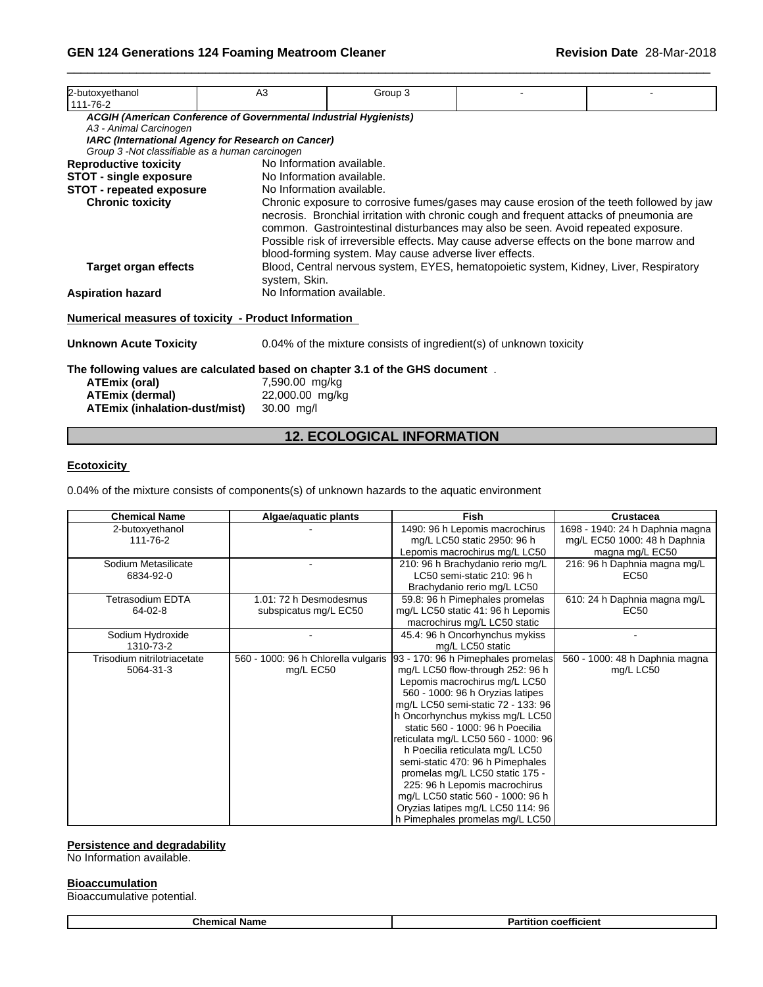| 2-butoxyethanol<br>111-76-2                                                   | A <sub>3</sub>                                                           | Group 3                                                                                                                                                                                                                                                                                                                                                                                                                   |                                                                                          |  |  |
|-------------------------------------------------------------------------------|--------------------------------------------------------------------------|---------------------------------------------------------------------------------------------------------------------------------------------------------------------------------------------------------------------------------------------------------------------------------------------------------------------------------------------------------------------------------------------------------------------------|------------------------------------------------------------------------------------------|--|--|
|                                                                               | <b>ACGIH (American Conference of Governmental Industrial Hygienists)</b> |                                                                                                                                                                                                                                                                                                                                                                                                                           |                                                                                          |  |  |
| A3 - Animal Carcinogen                                                        |                                                                          |                                                                                                                                                                                                                                                                                                                                                                                                                           |                                                                                          |  |  |
| Group 3 -Not classifiable as a human carcinogen                               | IARC (International Agency for Research on Cancer)                       |                                                                                                                                                                                                                                                                                                                                                                                                                           |                                                                                          |  |  |
|                                                                               | No Information available.                                                |                                                                                                                                                                                                                                                                                                                                                                                                                           |                                                                                          |  |  |
| <b>Reproductive toxicity</b>                                                  |                                                                          |                                                                                                                                                                                                                                                                                                                                                                                                                           |                                                                                          |  |  |
| <b>STOT - single exposure</b>                                                 | No Information available.                                                |                                                                                                                                                                                                                                                                                                                                                                                                                           |                                                                                          |  |  |
| <b>STOT - repeated exposure</b><br><b>Chronic toxicity</b>                    | No Information available.                                                |                                                                                                                                                                                                                                                                                                                                                                                                                           | Chronic exposure to corrosive fumes/gases may cause erosion of the teeth followed by jaw |  |  |
| Target organ effects                                                          | system, Skin.                                                            | necrosis. Bronchial irritation with chronic cough and frequent attacks of pneumonia are<br>common. Gastrointestinal disturbances may also be seen. Avoid repeated exposure.<br>Possible risk of irreversible effects. May cause adverse effects on the bone marrow and<br>blood-forming system. May cause adverse liver effects.<br>Blood, Central nervous system, EYES, hematopoietic system, Kidney, Liver, Respiratory |                                                                                          |  |  |
| <b>Aspiration hazard</b>                                                      |                                                                          | No Information available.                                                                                                                                                                                                                                                                                                                                                                                                 |                                                                                          |  |  |
| Numerical measures of toxicity - Product Information                          |                                                                          |                                                                                                                                                                                                                                                                                                                                                                                                                           |                                                                                          |  |  |
| <b>Unknown Acute Toxicity</b>                                                 |                                                                          |                                                                                                                                                                                                                                                                                                                                                                                                                           | 0.04% of the mixture consists of ingredient(s) of unknown toxicity                       |  |  |
| The following values are calculated based on chapter 3.1 of the GHS document. |                                                                          |                                                                                                                                                                                                                                                                                                                                                                                                                           |                                                                                          |  |  |
| ATEmix (oral)                                                                 | 7,590.00 mg/kg                                                           |                                                                                                                                                                                                                                                                                                                                                                                                                           |                                                                                          |  |  |
| <b>ATEmix (dermal)</b>                                                        | 22,000.00 mg/kg                                                          |                                                                                                                                                                                                                                                                                                                                                                                                                           |                                                                                          |  |  |
| ATEmix (inhalation-dust/mist)                                                 | 30.00 mg/l                                                               |                                                                                                                                                                                                                                                                                                                                                                                                                           |                                                                                          |  |  |

# **12. ECOLOGICAL INFORMATION**

### **Ecotoxicity**

0.04% of the mixture consists of components(s) of unknown hazards to the aquatic environment

| <b>Chemical Name</b>        | Algae/aquatic plants                | <b>Fish</b>                         | <b>Crustacea</b>                |
|-----------------------------|-------------------------------------|-------------------------------------|---------------------------------|
| 2-butoxyethanol             |                                     | 1490: 96 h Lepomis macrochirus      | 1698 - 1940: 24 h Daphnia magna |
| 111-76-2                    |                                     | mg/L LC50 static 2950: 96 h         | mg/L EC50 1000: 48 h Daphnia    |
|                             |                                     | Lepomis macrochirus mg/L LC50       | magna mg/L EC50                 |
| Sodium Metasilicate         |                                     | 210: 96 h Brachydanio rerio mg/L    | 216: 96 h Daphnia magna mg/L    |
| 6834-92-0                   |                                     | LC50 semi-static 210: 96 h          | EC <sub>50</sub>                |
|                             |                                     | Brachydanio rerio mg/L LC50         |                                 |
| Tetrasodium EDTA            | 1.01: 72 h Desmodesmus              | 59.8: 96 h Pimephales promelas      | 610: 24 h Daphnia magna mg/L    |
| 64-02-8                     | subspicatus mg/L EC50               | mg/L LC50 static 41: 96 h Lepomis   | EC50                            |
|                             |                                     | macrochirus mg/L LC50 static        |                                 |
| Sodium Hydroxide            |                                     | 45.4: 96 h Oncorhynchus mykiss      |                                 |
| 1310-73-2                   |                                     | mg/L LC50 static                    |                                 |
| Trisodium nitrilotriacetate | 560 - 1000: 96 h Chlorella vulgaris | 93 - 170: 96 h Pimephales promelas  | 560 - 1000: 48 h Daphnia magna  |
| 5064-31-3                   | mg/L EC50                           | mg/L LC50 flow-through 252: 96 h    | mg/L LC50                       |
|                             |                                     | Lepomis macrochirus mg/L LC50       |                                 |
|                             |                                     | 560 - 1000: 96 h Oryzias latipes    |                                 |
|                             |                                     | mg/L LC50 semi-static 72 - 133: 96  |                                 |
|                             |                                     | h Oncorhynchus mykiss mg/L LC50     |                                 |
|                             |                                     | static 560 - 1000: 96 h Poecilia    |                                 |
|                             |                                     | reticulata mg/L LC50 560 - 1000: 96 |                                 |
|                             |                                     | h Poecilia reticulata mg/L LC50     |                                 |
|                             |                                     | semi-static 470: 96 h Pimephales    |                                 |
|                             |                                     | promelas mg/L LC50 static 175 -     |                                 |
|                             |                                     | 225: 96 h Lepomis macrochirus       |                                 |
|                             |                                     | mg/L LC50 static 560 - 1000: 96 h   |                                 |
|                             |                                     | Oryzias latipes mg/L LC50 114: 96   |                                 |
|                             |                                     | h Pimephales promelas mg/L LC50     |                                 |

#### **Persistence and degradability**

No Information available.

#### **Bioaccumulation**

Bioaccumulative potential.

| <b>Chemical Name</b> | <b>Partition coefficient</b> |
|----------------------|------------------------------|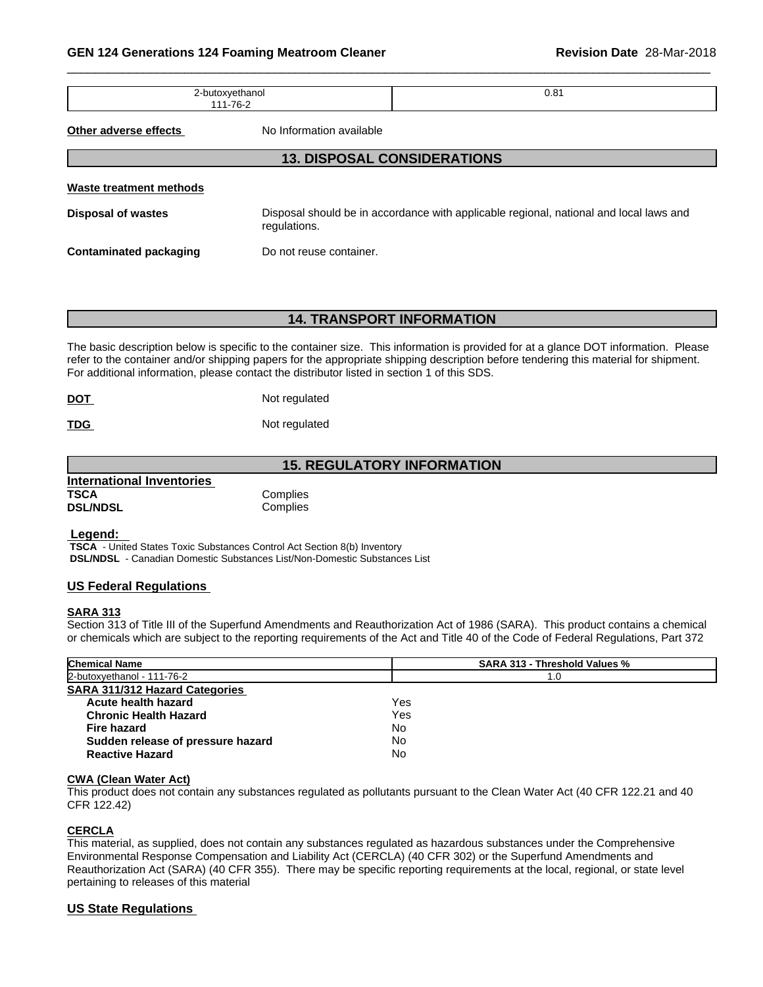| <br>.<br>.<br>⊸~<br>$\sim$ $\sim$ $\sim$ $\sim$ $\sim$ $\sim$ | -<br>. .<br><b>U.O</b> I |
|---------------------------------------------------------------|--------------------------|
|                                                               |                          |

**Other adverse effects** No Information available

#### **13. DISPOSAL CONSIDERATIONS**

| Waste treatment methods       |                                                                                                        |
|-------------------------------|--------------------------------------------------------------------------------------------------------|
| Disposal of wastes            | Disposal should be in accordance with applicable regional, national and local laws and<br>regulations. |
| <b>Contaminated packaging</b> | Do not reuse container.                                                                                |

#### **14. TRANSPORT INFORMATION**

The basic description below is specific to the container size. This information is provided for at a glance DOT information. Please refer to the container and/or shipping papers for the appropriate shipping description before tendering this material for shipment. For additional information, please contact the distributor listed in section 1 of this SDS.

**TDG** Not regulated

# **15. REGULATORY INFORMATION**

|                                  | יוט. ווערוויר וויור וויור וויור וויור |  |
|----------------------------------|---------------------------------------|--|
| <b>International Inventories</b> |                                       |  |
| TSCA                             | Complies                              |  |
| <b>DSL/NDSL</b>                  | Complies                              |  |

#### **Legend:**

 **TSCA** - United States Toxic Substances Control Act Section 8(b) Inventory  **DSL/NDSL** - Canadian Domestic Substances List/Non-Domestic Substances List

#### **US Federal Regulations**

#### **SARA 313**

Section 313 of Title III of the Superfund Amendments and Reauthorization Act of 1986 (SARA). This product contains a chemical or chemicals which are subject to the reporting requirements of the Act and Title 40 of the Code of Federal Regulations, Part 372

| <b>Chemical Name</b>                  | <b>SARA 313 - Threshold Values %</b> |  |
|---------------------------------------|--------------------------------------|--|
| 2-butoxyethanol - 111-76-2            | 1.0                                  |  |
| <b>SARA 311/312 Hazard Categories</b> |                                      |  |
| Acute health hazard                   | Yes                                  |  |
| <b>Chronic Health Hazard</b>          | Yes                                  |  |
| <b>Fire hazard</b>                    | No                                   |  |
| Sudden release of pressure hazard     | No                                   |  |
| <b>Reactive Hazard</b>                | No                                   |  |

#### **CWA (Clean WaterAct)**

This product does not contain any substances regulated as pollutants pursuant to the Clean Water Act (40 CFR 122.21 and 40 CFR 122.42)

#### **CERCLA**

This material, as supplied, does not contain any substances regulated as hazardous substances under the Comprehensive Environmental Response Compensation and Liability Act (CERCLA) (40 CFR 302) or the Superfund Amendments and Reauthorization Act (SARA) (40 CFR 355). There may be specific reporting requirements at the local, regional, or state level pertaining to releases of this material

#### **US State Regulations**